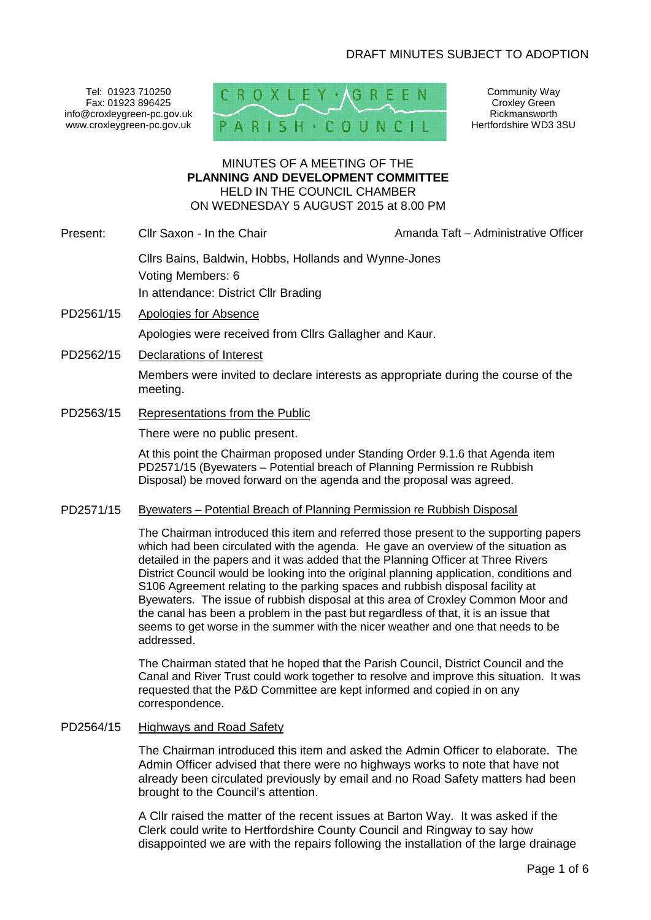Tel: 01923 710250 Fax: 01923 896425 info@croxleygreen-pc.gov.uk www.croxleygreen-pc.gov.uk PAR



Community Way Croxley Green Rickmansworth Hertfordshire WD3 3SU

#### MINUTES OF A MEETING OF THE **PLANNING AND DEVELOPMENT COMMITTEE** HELD IN THE COUNCIL CHAMBER ON WEDNESDAY 5 AUGUST 2015 at 8.00 PM

Present: Cllr Saxon - In the Chair **Amanda Taft – Administrative Officer** 

Cllrs Bains, Baldwin, Hobbs, Hollands and Wynne-Jones Voting Members: 6 In attendance: District Cllr Brading

- PD2561/15 Apologies for Absence Apologies were received from Cllrs Gallagher and Kaur.
- PD2562/15 Declarations of Interest

Members were invited to declare interests as appropriate during the course of the meeting.

PD2563/15 Representations from the Public

There were no public present.

At this point the Chairman proposed under Standing Order 9.1.6 that Agenda item PD2571/15 (Byewaters – Potential breach of Planning Permission re Rubbish Disposal) be moved forward on the agenda and the proposal was agreed.

### PD2571/15 Byewaters – Potential Breach of Planning Permission re Rubbish Disposal

The Chairman introduced this item and referred those present to the supporting papers which had been circulated with the agenda. He gave an overview of the situation as detailed in the papers and it was added that the Planning Officer at Three Rivers District Council would be looking into the original planning application, conditions and S106 Agreement relating to the parking spaces and rubbish disposal facility at Byewaters. The issue of rubbish disposal at this area of Croxley Common Moor and the canal has been a problem in the past but regardless of that, it is an issue that seems to get worse in the summer with the nicer weather and one that needs to be addressed.

The Chairman stated that he hoped that the Parish Council, District Council and the Canal and River Trust could work together to resolve and improve this situation. It was requested that the P&D Committee are kept informed and copied in on any correspondence.

## PD2564/15 Highways and Road Safety

The Chairman introduced this item and asked the Admin Officer to elaborate. The Admin Officer advised that there were no highways works to note that have not already been circulated previously by email and no Road Safety matters had been brought to the Council's attention.

A Cllr raised the matter of the recent issues at Barton Way. It was asked if the Clerk could write to Hertfordshire County Council and Ringway to say how disappointed we are with the repairs following the installation of the large drainage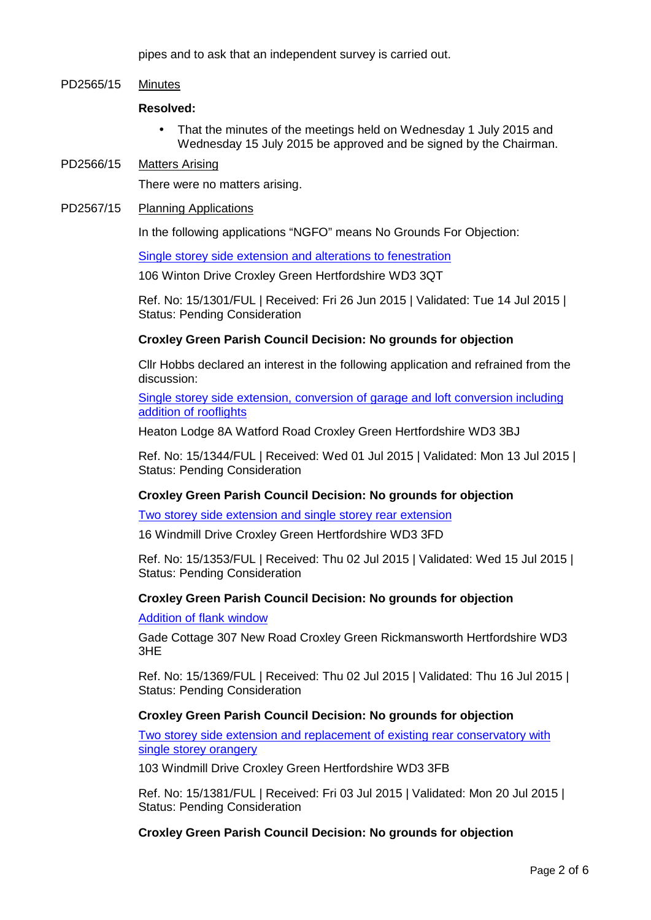pipes and to ask that an independent survey is carried out.

# PD2565/15 Minutes

## **Resolved:**

- That the minutes of the meetings held on Wednesday 1 July 2015 and Wednesday 15 July 2015 be approved and be signed by the Chairman.
- PD2566/15 Matters Arising

There were no matters arising.

PD2567/15 Planning Applications

In the following applications "NGFO" means No Grounds For Objection:

Single storey side extension and alterations to fenestration

106 Winton Drive Croxley Green Hertfordshire WD3 3QT

Ref. No: 15/1301/FUL | Received: Fri 26 Jun 2015 | Validated: Tue 14 Jul 2015 | Status: Pending Consideration

## **Croxley Green Parish Council Decision: No grounds for objection**

Cllr Hobbs declared an interest in the following application and refrained from the discussion:

Single storey side extension, conversion of garage and loft conversion including addition of rooflights

Heaton Lodge 8A Watford Road Croxley Green Hertfordshire WD3 3BJ

Ref. No: 15/1344/FUL | Received: Wed 01 Jul 2015 | Validated: Mon 13 Jul 2015 | Status: Pending Consideration

## **Croxley Green Parish Council Decision: No grounds for objection**

Two storey side extension and single storey rear extension

16 Windmill Drive Croxley Green Hertfordshire WD3 3FD

Ref. No: 15/1353/FUL | Received: Thu 02 Jul 2015 | Validated: Wed 15 Jul 2015 | Status: Pending Consideration

### **Croxley Green Parish Council Decision: No grounds for objection**

### Addition of flank window

Gade Cottage 307 New Road Croxley Green Rickmansworth Hertfordshire WD3 3HE

Ref. No: 15/1369/FUL | Received: Thu 02 Jul 2015 | Validated: Thu 16 Jul 2015 | Status: Pending Consideration

### **Croxley Green Parish Council Decision: No grounds for objection**

Two storey side extension and replacement of existing rear conservatory with single storey orangery

103 Windmill Drive Croxley Green Hertfordshire WD3 3FB

Ref. No: 15/1381/FUL | Received: Fri 03 Jul 2015 | Validated: Mon 20 Jul 2015 | Status: Pending Consideration

**Croxley Green Parish Council Decision: No grounds for objection**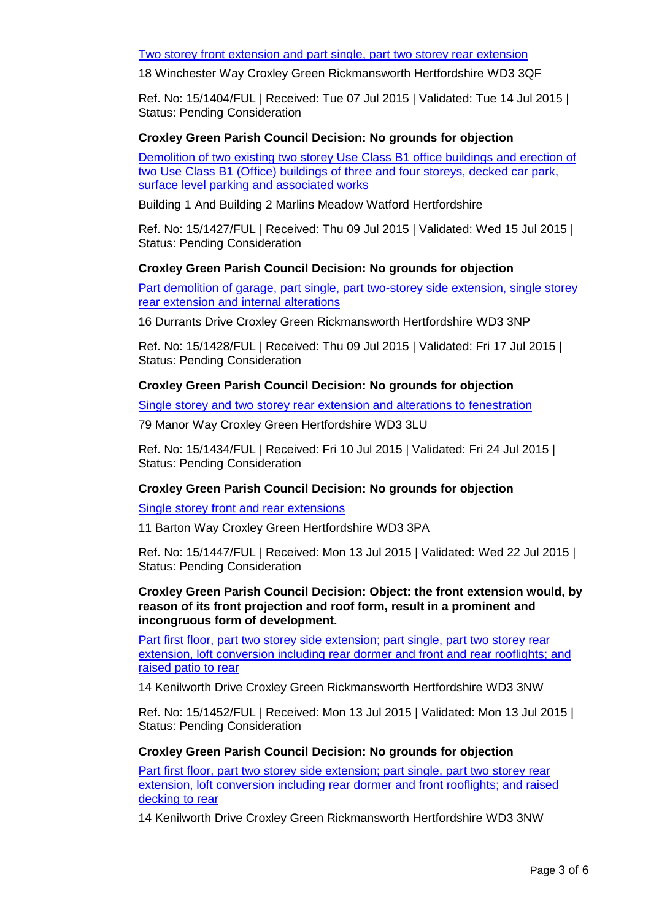Two storey front extension and part single, part two storey rear extension

18 Winchester Way Croxley Green Rickmansworth Hertfordshire WD3 3QF

Ref. No: 15/1404/FUL | Received: Tue 07 Jul 2015 | Validated: Tue 14 Jul 2015 | Status: Pending Consideration

## **Croxley Green Parish Council Decision: No grounds for objection**

Demolition of two existing two storey Use Class B1 office buildings and erection of two Use Class B1 (Office) buildings of three and four storeys, decked car park, surface level parking and associated works

Building 1 And Building 2 Marlins Meadow Watford Hertfordshire

Ref. No: 15/1427/FUL | Received: Thu 09 Jul 2015 | Validated: Wed 15 Jul 2015 | Status: Pending Consideration

## **Croxley Green Parish Council Decision: No grounds for objection**

Part demolition of garage, part single, part two-storey side extension, single storey rear extension and internal alterations

16 Durrants Drive Croxley Green Rickmansworth Hertfordshire WD3 3NP

Ref. No: 15/1428/FUL | Received: Thu 09 Jul 2015 | Validated: Fri 17 Jul 2015 | Status: Pending Consideration

## **Croxley Green Parish Council Decision: No grounds for objection**

Single storey and two storey rear extension and alterations to fenestration

79 Manor Way Croxley Green Hertfordshire WD3 3LU

Ref. No: 15/1434/FUL | Received: Fri 10 Jul 2015 | Validated: Fri 24 Jul 2015 | Status: Pending Consideration

# **Croxley Green Parish Council Decision: No grounds for objection**

Single storey front and rear extensions

11 Barton Way Croxley Green Hertfordshire WD3 3PA

Ref. No: 15/1447/FUL | Received: Mon 13 Jul 2015 | Validated: Wed 22 Jul 2015 | Status: Pending Consideration

**Croxley Green Parish Council Decision: Object: the front extension would, by reason of its front projection and roof form, result in a prominent and incongruous form of development.**

Part first floor, part two storey side extension; part single, part two storey rear extension, loft conversion including rear dormer and front and rear rooflights; and raised patio to rear

14 Kenilworth Drive Croxley Green Rickmansworth Hertfordshire WD3 3NW

Ref. No: 15/1452/FUL | Received: Mon 13 Jul 2015 | Validated: Mon 13 Jul 2015 | Status: Pending Consideration

### **Croxley Green Parish Council Decision: No grounds for objection**

Part first floor, part two storey side extension; part single, part two storey rear extension, loft conversion including rear dormer and front rooflights; and raised decking to rear

14 Kenilworth Drive Croxley Green Rickmansworth Hertfordshire WD3 3NW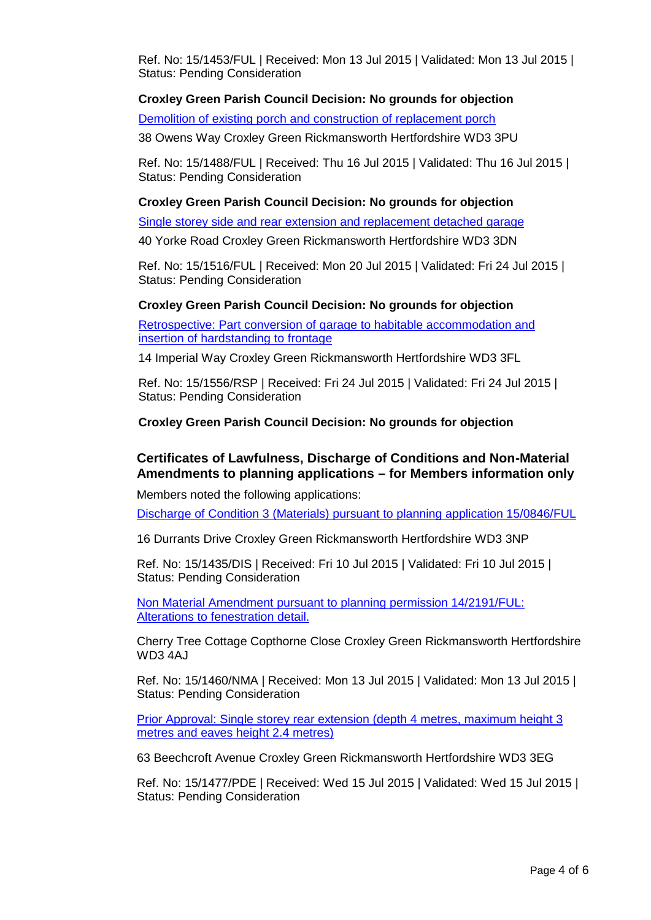Ref. No: 15/1453/FUL | Received: Mon 13 Jul 2015 | Validated: Mon 13 Jul 2015 | Status: Pending Consideration

## **Croxley Green Parish Council Decision: No grounds for objection**

Demolition of existing porch and construction of replacement porch

38 Owens Way Croxley Green Rickmansworth Hertfordshire WD3 3PU

Ref. No: 15/1488/FUL | Received: Thu 16 Jul 2015 | Validated: Thu 16 Jul 2015 | Status: Pending Consideration

# **Croxley Green Parish Council Decision: No grounds for objection**

Single storey side and rear extension and replacement detached garage

40 Yorke Road Croxley Green Rickmansworth Hertfordshire WD3 3DN

Ref. No: 15/1516/FUL | Received: Mon 20 Jul 2015 | Validated: Fri 24 Jul 2015 | Status: Pending Consideration

## **Croxley Green Parish Council Decision: No grounds for objection**

Retrospective: Part conversion of garage to habitable accommodation and insertion of hardstanding to frontage

14 Imperial Way Croxley Green Rickmansworth Hertfordshire WD3 3FL

Ref. No: 15/1556/RSP | Received: Fri 24 Jul 2015 | Validated: Fri 24 Jul 2015 | Status: Pending Consideration

# **Croxley Green Parish Council Decision: No grounds for objection**

# **Certificates of Lawfulness, Discharge of Conditions and Non-Material Amendments to planning applications – for Members information only**

Members noted the following applications:

Discharge of Condition 3 (Materials) pursuant to planning application 15/0846/FUL

16 Durrants Drive Croxley Green Rickmansworth Hertfordshire WD3 3NP

Ref. No: 15/1435/DIS | Received: Fri 10 Jul 2015 | Validated: Fri 10 Jul 2015 | Status: Pending Consideration

Non Material Amendment pursuant to planning permission 14/2191/FUL: Alterations to fenestration detail.

Cherry Tree Cottage Copthorne Close Croxley Green Rickmansworth Hertfordshire WD3 4AJ

Ref. No: 15/1460/NMA | Received: Mon 13 Jul 2015 | Validated: Mon 13 Jul 2015 | Status: Pending Consideration

Prior Approval: Single storey rear extension (depth 4 metres, maximum height 3 metres and eaves height 2.4 metres)

63 Beechcroft Avenue Croxley Green Rickmansworth Hertfordshire WD3 3EG

Ref. No: 15/1477/PDE | Received: Wed 15 Jul 2015 | Validated: Wed 15 Jul 2015 | Status: Pending Consideration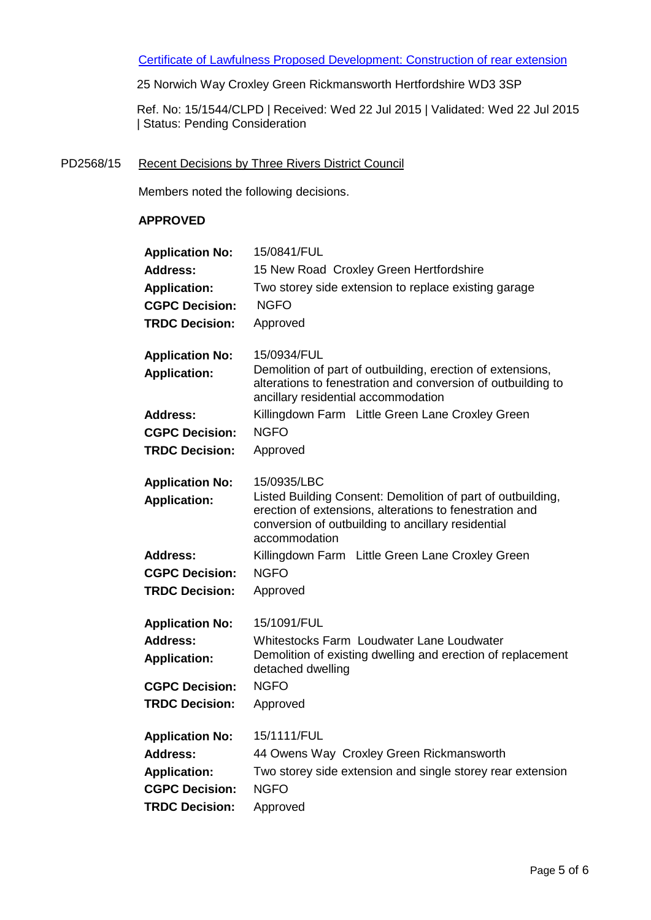Certificate of Lawfulness Proposed Development: Construction of rear extension

25 Norwich Way Croxley Green Rickmansworth Hertfordshire WD3 3SP

Ref. No: 15/1544/CLPD | Received: Wed 22 Jul 2015 | Validated: Wed 22 Jul 2015 | Status: Pending Consideration

PD2568/15 Recent Decisions by Three Rivers District Council

Members noted the following decisions.

## **APPROVED**

| <b>Application No:</b><br>Address:<br><b>Application:</b><br><b>CGPC Decision:</b><br><b>TRDC Decision:</b> | 15/0841/FUL<br>15 New Road Croxley Green Hertfordshire<br>Two storey side extension to replace existing garage<br><b>NGFO</b><br>Approved                                                                    |
|-------------------------------------------------------------------------------------------------------------|--------------------------------------------------------------------------------------------------------------------------------------------------------------------------------------------------------------|
| <b>Application No:</b><br><b>Application:</b>                                                               | 15/0934/FUL<br>Demolition of part of outbuilding, erection of extensions,<br>alterations to fenestration and conversion of outbuilding to<br>ancillary residential accommodation                             |
| <b>Address:</b>                                                                                             | Killingdown Farm Little Green Lane Croxley Green                                                                                                                                                             |
| <b>CGPC Decision:</b>                                                                                       | <b>NGFO</b>                                                                                                                                                                                                  |
| <b>TRDC Decision:</b>                                                                                       | Approved                                                                                                                                                                                                     |
| <b>Application No:</b><br><b>Application:</b>                                                               | 15/0935/LBC<br>Listed Building Consent: Demolition of part of outbuilding,<br>erection of extensions, alterations to fenestration and<br>conversion of outbuilding to ancillary residential<br>accommodation |
| <b>Address:</b>                                                                                             | Killingdown Farm Little Green Lane Croxley Green                                                                                                                                                             |
| <b>CGPC Decision:</b>                                                                                       | <b>NGFO</b>                                                                                                                                                                                                  |
| <b>TRDC Decision:</b>                                                                                       | Approved                                                                                                                                                                                                     |
| <b>Application No:</b><br><b>Address:</b><br><b>Application:</b>                                            | 15/1091/FUL<br>Whitestocks Farm Loudwater Lane Loudwater<br>Demolition of existing dwelling and erection of replacement<br>detached dwelling                                                                 |
| <b>CGPC Decision:</b>                                                                                       | <b>NGFO</b>                                                                                                                                                                                                  |
| <b>TRDC Decision:</b>                                                                                       | Approved                                                                                                                                                                                                     |
| <b>Application No:</b>                                                                                      | 15/1111/FUL                                                                                                                                                                                                  |
| <b>Address:</b>                                                                                             | 44 Owens Way Croxley Green Rickmansworth                                                                                                                                                                     |
| <b>Application:</b>                                                                                         | Two storey side extension and single storey rear extension                                                                                                                                                   |
| <b>CGPC Decision:</b>                                                                                       | <b>NGFO</b>                                                                                                                                                                                                  |
| <b>TRDC Decision:</b>                                                                                       | Approved                                                                                                                                                                                                     |